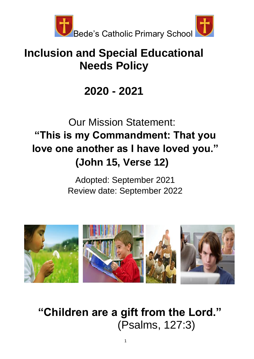

# **Inclusion and Special Educational Needs Policy**

# **2020 - 2021**

# Our Mission Statement: **"This is my Commandment: That you love one another as I have loved you." (John 15, Verse 12)**

Adopted: September 2021 Review date: September 2022



**"Children are a gift from the Lord."**  (Psalms, 127:3)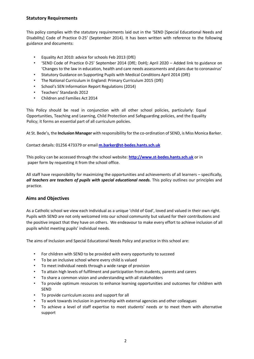## **Statutory Requirements**

This policy complies with the statutory requirements laid out in the 'SEND [Special Educational Needs and Disability] Code of Practice 0-25' (September 2014). It has been written with reference to the following guidance and documents:

- Equality Act 2010: advice for schools Feb 2013 (DfE)
- 'SEND Code of Practice 0-25' September 2014 (DfE; DoH); April 2020 Added link to guidance on 'Changes to the law in education, health and care needs assessments and plans due to coronavirus'
- Statutory Guidance on Supporting Pupils with Medical Conditions April 2014 (DfE)
- The National Curriculum in England: Primary Curriculum 2015 (DfE)
- School's SEN Information Report Regulations (2014)
- Teachers' Standards 2012
- Children and Families Act 2014

This Policy should be read in conjunction with all other school policies, particularly: Equal Opportunities, Teaching and Learning, Child Protection and Safeguarding policies, and the Equality Policy; it forms an essential part of all curriculum policies.

At St. Bede's, the **Inclusion Manager** with responsibility for the co-ordination of SEND, is Miss Monica Barker.

Contact details: 01256 473379 or email **m.barker@st-bedes.hants.sch.uk**

This policy can be accessed through the school website: **[http://www.st-bedes.hants.sch.uk](http://www.st-bedes.hants.sch.uk/)** or in paper form by requesting it from the school office.

All staff have responsibility for maximizing the opportunities and achievements of all learners – specifically, *all teachers are teachers of pupils with special educational needs.* This policy outlines our principles and practice.

## **Aims and Objectives**

As a Catholic school we view each individual as a unique 'child of God', loved and valued in their own right. Pupils with SEND are not only welcomed into our school community but valued for their contributions and the positive impact that they have on others. We endeavour to make every effort to achieve inclusion of all pupils whilst meeting pupils' individual needs.

The aims of Inclusion and Special Educational Needs Policy and practice in this school are:

- For children with SEND to be provided with every opportunity to succeed
- To be an inclusive school where every child is valued
- To meet individual needs through a wide range of provision
- To attain high levels of fulfilment and participation from students, parents and carers
- To share a common vision and understanding with all stakeholders
- To provide optimum resources to enhance learning opportunities and outcomes for children with SEND
- To provide curriculum access and support for all
- To work towards inclusion in partnership with external agencies and other colleagues
- To achieve a level of staff expertise to meet students' needs or to meet them with alternative support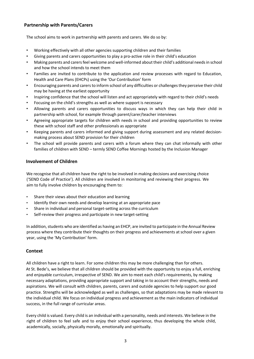## **Partnership with Parents/Carers**

The school aims to work in partnership with parents and carers. We do so by:

- Working effectively with all other agencies supporting children and their families
- Giving parents and carers opportunities to play a pro-active role in their child's education
- Making parents and carers feel welcome and well-informed about their child's additional needs in school and how the school intends to meet them
- Families are invited to contribute to the application and review processes with regard to Education, Health and Care Plans (EHCPs) using the 'Our Contribution' form
- Encouraging parents and carers to inform school of any difficulties or challengesthey perceive their child may be having at the earliest opportunity
- Inspiring confidence that the school will listen and act appropriately with regard to their child's needs
- Focusing on the child's strengths as well as where support is necessary
- Allowing parents and carers opportunities to discuss ways in which they can help their child in partnership with school, for example through parent/carer/teacher interviews
- Agreeing appropriate targets for children with needs in school and providing opportunities to review these with school staff and other professionals as appropriate
- Keeping parents and carers informed and giving support during assessment and any related decisionmaking process about SEND provision for their children
- The school will provide parents and carers with a forum where they can chat informally with other families of children with SEND – termly SEND Coffee Mornings hosted by the Inclusion Manager

## **Involvement of Children**

We recognise that all children have the right to be involved in making decisions and exercising choice ('SEND Code of Practice'). All children are involved in monitoring and reviewing their progress. We aim to fully involve children by encouraging them to:

- Share their views about their education and learning
- Identify their own needs and develop learning at an appropriate pace
- Share in individual and personal target-setting across the curriculum
- Self-review their progress and participate in new target-setting

In addition, students who are identified as having an EHCP, are invited to participate in the Annual Review process where they contribute their thoughts on their progress and achievements at school over a given year, using the 'My Contribution' form.

## **Context**

All children have a right to learn. For some children this may be more challenging than for others. At St. Bede's, we believe that all children should be provided with the opportunity to enjoy a full, enriching and enjoyable curriculum, irrespective of SEND. We aim to meet each child's requirements, by making necessary adaptations, providing appropriate support and taking in to account their strengths, needs and aspirations. We will consult with children, parents, carers and outside agencies to help support our good practice. Strengths will be acknowledged as well as challenges, so that adaptations may be made relevant to the individual child. We focus on individual progress and achievement as the main indicators of individual success, in the full range of curricular areas.

Every child is valued. Every child is an individual with a personality, needs and interests. We believe in the right of children to feel safe and to enjoy their school experience, thus developing the whole child, academically, socially, physically morally, emotionally and spiritually.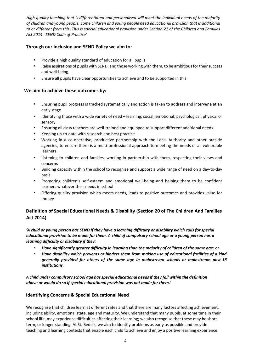*High-quality teaching that is differentiated and personalised will meet the individual needs of the majority of children and young people. Some children and young people need educational provision that is additional to or different from this. This is special educational provision under Section 21 of the Children and Families Act 2014.* '*SEND Code of Practice'*

## **Through our Inclusion and SEND Policy we aim to:**

- Provide a high quality standard of education for all pupils
- Raise aspirations of pupils with SEND, and those working with them, to be ambitious for their success and well-being
- Ensure all pupils have clear opportunities to achieve and to be supported in this

#### **We aim to achieve these outcomes by:**

- Ensuring pupil progress is tracked systematically and action is taken to address and intervene at an early stage
- Identifying those with a wide variety of need learning; social; emotional; psychological; physical or sensory
- Ensuring all class teachers are well-trained and equipped to support different additional needs
- Keeping up-to-date with research and best practice
- Working in a co-operative, productive partnership with the Local Authority and other outside agencies, to ensure there is a multi-professional approach to meeting the needs of all vulnerable learners
- Listening to children and families, working in partnership with them, respecting their views and concerns
- Building capacity within the school to recognise and support a wide range of need on a day-to-day basis
- Promoting children's self-esteem and emotional well-being and helping them to be confident learners whatever their needs in school
- Offering quality provision which meets needs, leads to positive outcomes and provides value for money

# **Definition of Special Educational Needs & Disability (Section 20 of The Children And Families Act 2014)**

*'A child or young person has SEND if they have a learning difficulty or disability which calls for special educational provision to be made for them. A child of compulsory school age or a young person has a learning difficulty or disability if they:*

- *Have significantly greater difficulty in learning than the majority of children of the same age: or*
- *Have disability which prevents or hinders them from making use of educational facilities of a kind generally provided for others of the same age in mainstream schools or mainstream post-16 institutions.*

*A child under compulsory school age has special educational needs if they fall within the definition above or would do so if special educational provision was not made for them.'*

## **Identifying Concerns & Special Educational Need**

We recognise that children learn at different rates and that there are many factors affecting achievement, including ability, emotional state, age and maturity. We understand that many pupils, at some time in their school life, may experience difficulties affecting their learning; we also recognise that these may be short term, or longer standing. At St. Bede's, we aim to identify problems as early as possible and provide teaching and learning contexts that enable each child to achieve and enjoy a positive learning experience.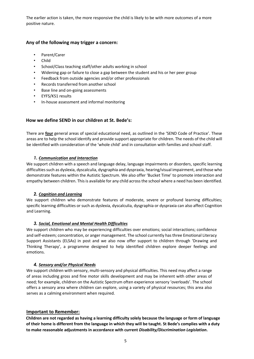The earlier action is taken, the more responsive the child is likely to be with more outcomes of a more positive nature.

## **Any of the following may trigger a concern:**

- Parent/Carer
- Child
- School/Class teaching staff/other adults working in school
- Widening gap or failure to close a gap between the student and his or her peer group
- Feedback from outside agencies and/or other professionals
- Records transferred from another school
- Base line and on-going assessments
- EYFS/KS1 results
- In-house assessment and informal monitoring

#### **How we define SEND in our children at St. Bede's:**

There are **four** general areas of special educational need, as outlined in the 'SEND Code of Practice'. These areas are to help the school identify and provide support appropriate for children. The needs of the child will be identified with consideration of the 'whole child' and in consultation with families and school staff.

#### *1. Communication and Interaction*

We support children with a speech and language delay, language impairments or disorders, specific learning difficulties such as dyslexia, dyscalculia, dysgraphia and dyspraxia, hearing/visual impairment, and those who demonstrate features within the Autistic Spectrum. We also offer 'Bucket Time' to promote interaction and empathy between children. This is available for any child across the school where a need has been identified.

#### *2. Cognition and Learning*

We support children who demonstrate features of moderate, severe or profound learning difficulties; specific learning difficulties or such as dyslexia, dyscalculia, dysgraphia or dyspraxia can also affect Cognition and Learning.

## *3. Social, Emotional and Mental Health Difficulties*

We support children who may be experiencing difficulties over emotions; social interactions; confidence and self-esteem; concentration, or anger management. The school currently has three Emotional Literacy Support Assistants (ELSAs) in post and we also now offer support to children through 'Drawing and Thinking Therapy', a programme designed to help identified children explore deeper feelings and emotions.

#### *4. Sensory and/or Physical Needs*

We support children with sensory, multi-sensory and physical difficulties. This need may affect a range of areas including gross and fine motor skills development and may be inherent with other areas of need; for example, children on the Autistic Spectrum often experience sensory 'overloads'. The school offers a sensory area where children can explore, using a variety of physical resources; this area also serves as a calming environment when required.

#### **Important to Remember:**

**Children are not regarded as having a learning difficulty solely because the language or form of language of their home is different from the language in which they will be taught. St Bede's complies with a duty to make reasonable adjustments in accordance with current** *Disability/Discrimination Legislation***.**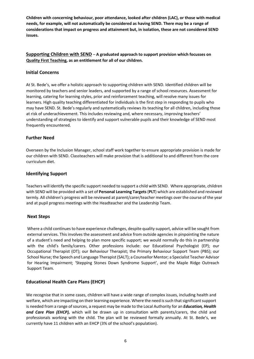**Children with concerning behaviour, poor attendance, looked after children (LAC), or those with medical needs, for example, will not automatically be considered as having SEND. There may be a range of considerations that impact on progress and attainment but, in isolation, these are not considered SEND issues.** 

## **Supporting Children with SEND** – **A graduated approach to support provision which focusses on Quality First Teaching, as an entitlement for all of our children.**

## **Initial Concerns**

At St. Bede's, we offer a holistic approach to supporting children with SEND. Identified children will be monitored by teachers and senior leaders, and supported by a range of school resources. Assessment for learning, catering for learning styles, prior and reinforcement teaching, will resolve many issues for learners. High quality teaching differentiated for individuals is the first step in responding to pupils who may have SEND. St. Bede's regularly and systematically reviews its teaching for all children, including those at risk of underachievement. This includes reviewing and, where necessary, improving teachers' understanding of strategies to identify and support vulnerable pupils and their knowledge of SEND most frequently encountered.

#### **Further Need**

Overseen by the Inclusion Manager, school staff work together to ensure appropriate provision is made for our children with SEND. Classteachers will make provision that is additional to and different from the core curriculum diet.

#### **Identifying Support**

Teachers will identify the specific support needed to support a child with SEND. Where appropriate, children with SEND will be provided with a set of **Personal Learning Targets**(**PLT**) which are established and reviewed termly. All children's progress will be reviewed at parent/carer/teacher meetings over the course of the year and at pupil progress meetings with the Headteacher and the Leadership Team.

#### **Next Steps**

Where a child continues to have experience challenges, despite quality support, advice will be sought from external services. This involves the assessment and advice from outside agencies in pinpointing the nature of a student's need and helping to plan more specific support; we would normally do this in partnership with the child's family/carers. Other professions include: our Educational Psychologist (EP); our Occupational Therapist (OT); our Behaviour Therapist; the Primary Behaviour Support Team (PBS); our School Nurse; the Speech and Language Therapist (SALT); a Counsellor Mentor; a Specialist Teacher Advisor for Hearing Impairment; 'Stepping Stones Down Syndrome Support', and the Maple Ridge Outreach Support Team.

## **Educational Health Care Plans (EHCP)**

We recognise that in some cases, children will have a wide range of complex issues, including health and welfare, which are impacting on their learning experience. Where the need is such that significant support is needed from a range of sources, a request may be made to the Local Authority for an *Education, Health and Care Plan (EHCP),* which will be drawn up in consultation with parents/carers, the child and professionals working with the child. The plan will be reviewed formally annually. At St. Bede's, we currently have 11 children with an EHCP (3% of the school's population).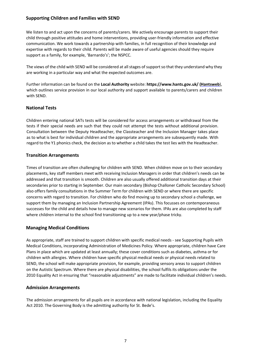## **Supporting Children and Families with SEND**

We listen to and act upon the concerns of parents/carers. We actively encourage parents to support their child through positive attitudes and home interventions, providing user-friendly information and effective communication. We work towards a partnership with families, in full recognition of their knowledge and expertise with regards to their child. Parents will be made aware of useful agencies should they require support as a family, for example, 'Barnardo's'; the NSPCC.

The views of the child with SEND will be considered at all stages of support so that they understand why they are working in a particular way and what the expected outcomes are.

Further information can be found on the **Local Authority** website: **https://www.hants.gov.uk/ (Hantsweb**), which outlines service provision in our local authority and support available to parents/carers and children with SEND.

## **National Tests**

Children entering national SATs tests will be considered for access arrangements or withdrawal from the tests if their special needs are such that they could not attempt the tests without additional provision. Consultation between the Deputy Headteacher, the Classteacher and the Inclusion Manager takes place as to what is best for individual children and the appropriate arrangements are subsequently made. With regard to the Y1 phonics check, the decision as to whether a child takes the test lies with the Headteacher.

## **Transition Arrangements**

Times of transition are often challenging for children with SEND. When children move on to their secondary placements, key staff members meet with receiving Inclusion Managers in order that children's needs can be addressed and that transition is smooth. Children are also usually offered additional transition days at their secondaries prior to starting in September. Our main secondary (Bishop Challoner Catholic Secondary School) also offers family consultations in the Summer Term for children with SEND or where there are specific concerns with regard to transition. For children who do find moving up to secondary school a challenge, we support them by managing an Inclusion Partnership Agreement (IPAs). This focusses on contemporaneous successes for the child and details how to manage new scenarios for them. IPAs are also completed by staff where children internal to the school find transitioning up to a new year/phase tricky.

## **Managing Medical Conditions**

As appropriate, staff are trained to support children with specific medical needs - see Supporting Pupils with Medical Conditions, incorporating Administration of Medicines Policy. Where appropriate, children have Care Plans in place which are updated at least annually; these cover conditions such as diabetes, asthma or for children with allergies. Where children have specific physical medical needs or physical needs related to SEND, the school will make appropriate provision, for example, providing sensory areas to support children on the Autistic Spectrum. Where there are physical disabilities, the school fulfils its obligations under the 2010 Equality Act in ensuring that "reasonable adjustments" are made to facilitate individual children's needs.

## **Admission Arrangements**

The admission arrangements for all pupils are in accordance with national legislation, including the Equality Act 2010. The Governing Body is the admitting authority for St. Bede's.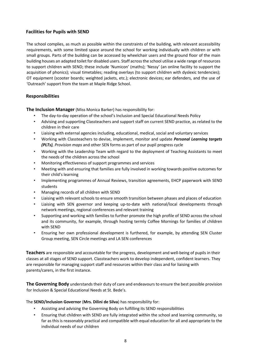## **Facilities for Pupils with SEND**

The school complies, as much as possible within the constraints of the building, with relevant accessibility requirements, with some limited space around the school for working individually with children or with small groups. Parts of the building can be accessed by wheelchair users and the ground floor of the main building houses an adapted toilet for disabled users. Staff across the school utilise a wide range of resources to support children with SEND; these include 'Numicon' (maths); 'Nessy' (an online facility to support the acquisition of phonics); visual timetables; reading overlays (to support children with dyslexic tendencies); OT equipment (scooter boards; weighted jackets, etc.); electronic devices; ear defenders, and the use of 'Outreach' support from the team at Maple Ridge School.

## **Responsibilities**

**The Inclusion Manager** (Miss Monica Barker) has responsibility for:

- The day-to-day operation of the school's Inclusion and Special Educational Needs Policy
- Advising and supporting Classteachers and support staff on current SEND practice, as related to the children in their care
- Liaising with external agencies including, educational, medical, social and voluntary services
- Working with Classteachers to devise, implement, monitor and update *Personal Learning targets (PLTs), Provision maps* and other SEN forms as part of our pupil progress cycle
- Working with the Leadership Team with regard to the deployment of Teaching Assistants to meet the needs of the children across the school
- Monitoring effectiveness of support programmes and services
- Meeting with and ensuring that families are fully involved in working towards positive outcomes for their child's learning
- Implementing programmes of Annual Reviews, transition agreements, EHCP paperwork with SEND students
- Managing records of all children with SEND
- Liaising with relevant schools to ensure smooth transition between phases and places of education
- Liaising with SEN governor and keeping up-to-date with national/local developments through network meetings, regional conferences and relevant training
- Supporting and working with families to further promote the high profile of SEND across the school and its community, for example, through hosting termly Coffee Mornings for families of children with SEND
- Ensuring her own professional development is furthered, for example, by attending SEN Cluster Group meeting, SEN Circle meetings and LA SEN conferences

**Teachers** are responsible and accountable for the progress, development and well-being of pupils in their classes at all stages of SEND support. Classteachers work to develop independent, confident learners. They are responsible for managing support staff and resources within their class and for liaising with parents/carers, in the first instance.

**The Governing Body** understands their duty of care and endeavours to ensure the best possible provision for Inclusion & Special Educational Needs at St. Bede's.

The **SEND/Inclusion Governor** (**Mrs. Dilini de Silva**) has responsibility for:

- Assisting and advising the Governing Body on fulfilling its SEND responsibilities
- Ensuring that children with SEND are fully integrated within the school and learning community, so far as this is reasonably practical and compatible with equal education for all and appropriate to the individual needs of our children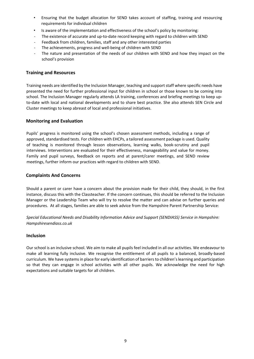- Ensuring that the budget allocation for SEND takes account of staffing, training and resourcing requirements for individual children
- Is aware of the implementation and effectiveness of the school's policy by monitoring:
- The existence of accurate and up-to-date record keeping with regard to children with SEND
- Feedback from children, families, staff and any other interested parties
- The achievements, progress and well-being of children with SEND
- The nature and presentation of the needs of our children with SEND and how they impact on the school's provision

#### **Training and Resources**

Training needs are identified by the Inclusion Manager, teaching and support staff where specific needs have presented the need for further professional input for children in school or those known to be coming into school. The Inclusion Manager regularly attends LA training, conferences and briefing meetings to keep upto-date with local and national developments and to share best practice. She also attends SEN Circle and Cluster meetings to keep abreast of local and professional initiatives.

#### **Monitoring and Evaluation**

Pupils' progress is monitored using the school's chosen assessment methods, including a range of approved, standardised tests. For children with EHCPs, a tailored assessment package is used. Quality of teaching is monitored through lesson observations, learning walks, book-scrutiny and pupil interviews. Interventions are evaluated for their effectiveness, manageability and value for money. Family and pupil surveys, feedback on reports and at parent/carer meetings, and SEND review meetings, further inform our practices with regard to children with SEND.

#### **Complaints And Concerns**

Should a parent or carer have a concern about the provision made for their child, they should, in the first instance, discuss this with the Classteacher. If the concern continues, this should be referred to the Inclusion Manager or the Leadership Team who will try to resolve the matter and can advise on further queries and procedures. At all stages, families are able to seek advice from the Hampshire Parent Partnership Service:

*Special Educational Needs and Disability Information Advice and Support (SENDIASS) Service in Hampshire: Hampshiresendiass.co.uk*

#### **Inclusion**

Our school is an inclusive school. We aim to make all pupils feel included in all our activities. We endeavour to make all learning fully inclusive. We recognise the entitlement of all pupils to a balanced, broadly-based curriculum. We have systems in place for early identification of barriers to children's learning and participation so that they can engage in school activities with all other pupils. We acknowledge the need for high expectations and suitable targets for all children.